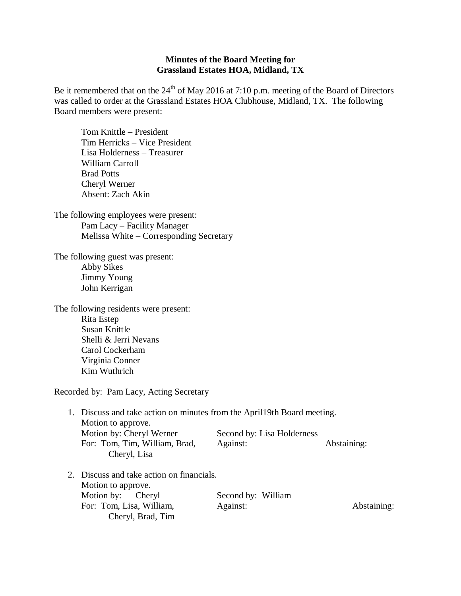## **Minutes of the Board Meeting for Grassland Estates HOA, Midland, TX**

Be it remembered that on the  $24<sup>th</sup>$  of May 2016 at 7:10 p.m. meeting of the Board of Directors was called to order at the Grassland Estates HOA Clubhouse, Midland, TX. The following Board members were present:

Tom Knittle – President Tim Herricks – Vice President Lisa Holderness – Treasurer William Carroll Brad Potts Cheryl Werner Absent: Zach Akin

The following employees were present: Pam Lacy – Facility Manager Melissa White – Corresponding Secretary

The following guest was present: Abby Sikes Jimmy Young John Kerrigan

The following residents were present: Rita Estep Susan Knittle Shelli & Jerri Nevans Carol Cockerham Virginia Conner Kim Wuthrich

Recorded by: Pam Lacy, Acting Secretary

| 1. Discuss and take action on minutes from the April 19th Board meeting. |  |
|--------------------------------------------------------------------------|--|
|                                                                          |  |
| Second by: Lisa Holderness                                               |  |
| Abstaining:                                                              |  |
|                                                                          |  |

2. Discuss and take action on financials. Motion to approve. Motion by: Cheryl Second by: William For: Tom, Lisa, William, Against: Abstaining: Abstaining: Cheryl, Brad, Tim